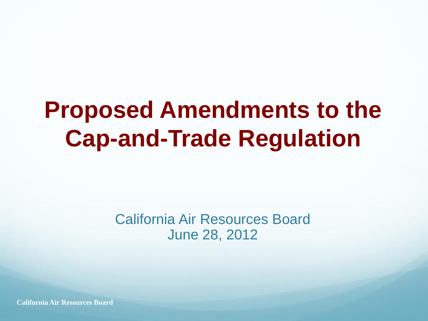#### **Proposed Amendments to the Cap-and-Trade Regulation**

#### California Air Resources Board June 28, 2012

**California Air Resources Board**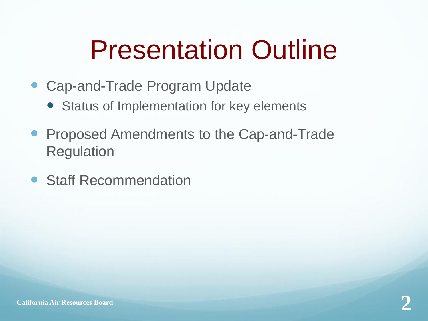#### Presentation Outline

- Cap-and-Trade Program Update
	- Status of Implementation for key elements
- **Proposed Amendments to the Cap-and-Trade** Regulation
- Staff Recommendation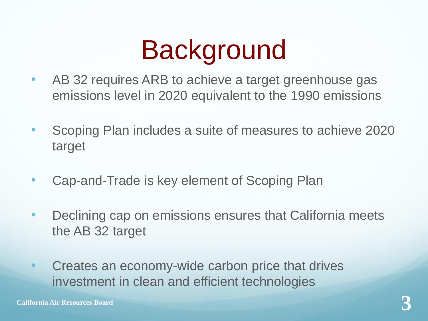#### **Background**

- AB 32 requires ARB to achieve a target greenhouse gas emissions level in 2020 equivalent to the 1990 emissions
- Scoping Plan includes a suite of measures to achieve 2020 target
- Cap-and-Trade is key element of Scoping Plan
- Declining cap on emissions ensures that California meets the AB 32 target
- Creates an economy-wide carbon price that drives investment in clean and efficient technologies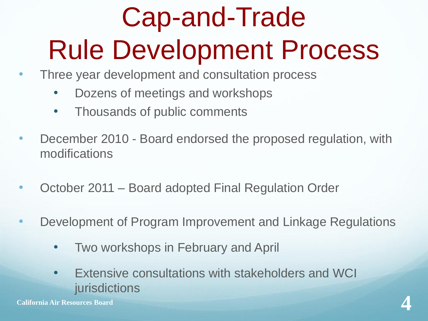## Cap-and-Trade Rule Development Process

- Three year development and consultation process
	- Dozens of meetings and workshops
	- Thousands of public comments
- December 2010 Board endorsed the proposed regulation, with modifications
- October 2011 Board adopted Final Regulation Order
- Development of Program Improvement and Linkage Regulations
	- Two workshops in February and April
- Extensive consultations with stakeholders and WCI jurisdictions **California Air Resources Board 4**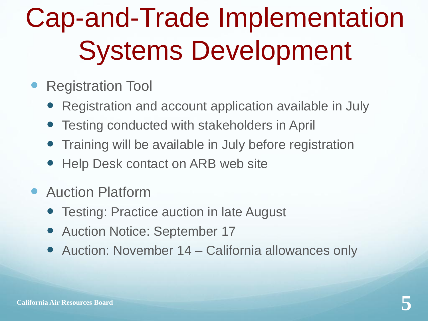## Cap-and-Trade Implementation Systems Development

- Registration Tool
	- Registration and account application available in July
	- Testing conducted with stakeholders in April
	- Training will be available in July before registration
	- Help Desk contact on ARB web site
- Auction Platform
	- Testing: Practice auction in late August
	- Auction Notice: September 17
	- Auction: November 14 California allowances only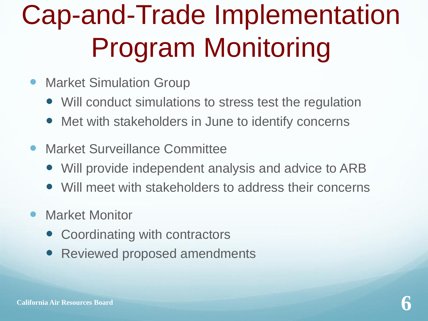## Cap-and-Trade Implementation Program Monitoring

- Market Simulation Group
	- Will conduct simulations to stress test the regulation
	- Met with stakeholders in June to identify concerns
- **Market Surveillance Committee** 
	- Will provide independent analysis and advice to ARB
	- Will meet with stakeholders to address their concerns
- Market Monitor
	- Coordinating with contractors
	- Reviewed proposed amendments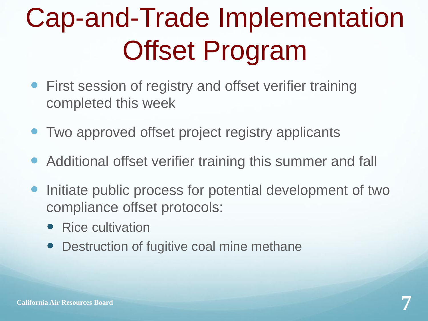## Cap-and-Trade Implementation Offset Program

- **First session of registry and offset verifier training** completed this week
- Two approved offset project registry applicants
- Additional offset verifier training this summer and fall
- Initiate public process for potential development of two compliance offset protocols:
	- Rice cultivation
	- Destruction of fugitive coal mine methane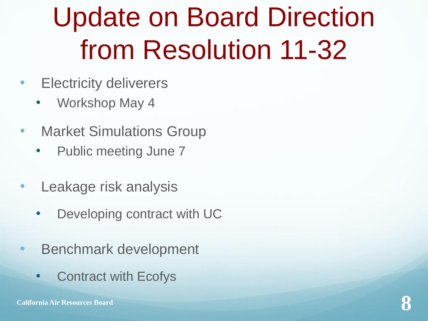#### Update on Board Direction from Resolution 11-32

- Electricity deliverers
	- Workshop May 4
- Market Simulations Group
	- Public meeting June 7
- Leakage risk analysis
	- Developing contract with UC
- Benchmark development
	- Contract with Ecofys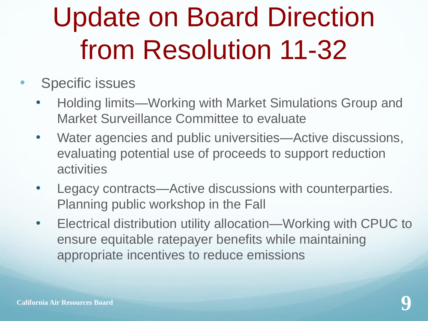#### Update on Board Direction from Resolution 11-32

- Specific issues
	- Holding limits—Working with Market Simulations Group and Market Surveillance Committee to evaluate
	- Water agencies and public universities—Active discussions, evaluating potential use of proceeds to support reduction **activities**
	- Legacy contracts—Active discussions with counterparties. Planning public workshop in the Fall
	- Electrical distribution utility allocation—Working with CPUC to ensure equitable ratepayer benefits while maintaining appropriate incentives to reduce emissions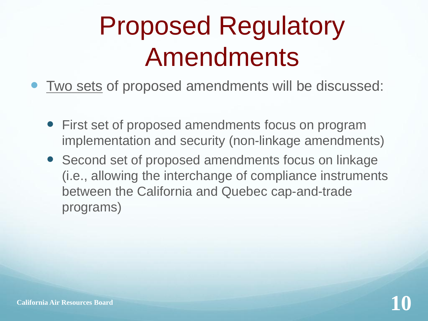#### Proposed Regulatory Amendments

- Two sets of proposed amendments will be discussed:
	- First set of proposed amendments focus on program implementation and security (non-linkage amendments)
	- Second set of proposed amendments focus on linkage (i.e., allowing the interchange of compliance instruments between the California and Quebec cap-and-trade programs)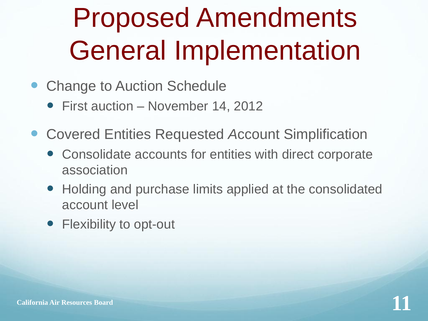#### Proposed Amendments General Implementation

- Change to Auction Schedule
	- First auction November 14, 2012
- Covered Entities Requested *A*ccount Simplification
	- Consolidate accounts for entities with direct corporate association
	- Holding and purchase limits applied at the consolidated account level
	- Flexibility to opt-out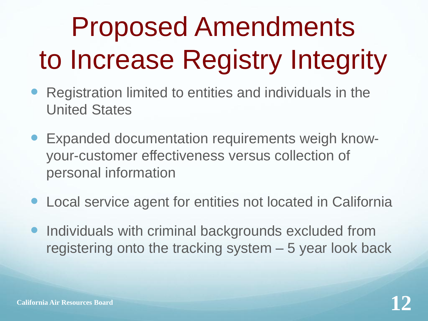# Proposed Amendments to Increase Registry Integrity

- Registration limited to entities and individuals in the United States
- Expanded documentation requirements weigh knowyour-customer effectiveness versus collection of personal information
- Local service agent for entities not located in California
- Individuals with criminal backgrounds excluded from registering onto the tracking system – 5 year look back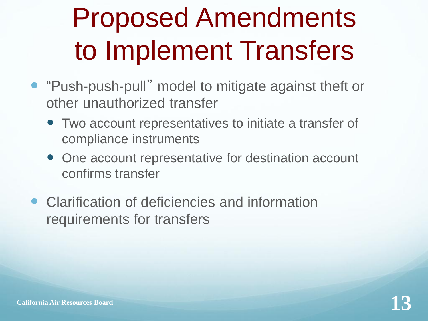## Proposed Amendments to Implement Transfers

- "Push-push-pull" model to mitigate against theft or other unauthorized transfer
	- Two account representatives to initiate a transfer of compliance instruments
	- One account representative for destination account confirms transfer
- Clarification of deficiencies and information requirements for transfers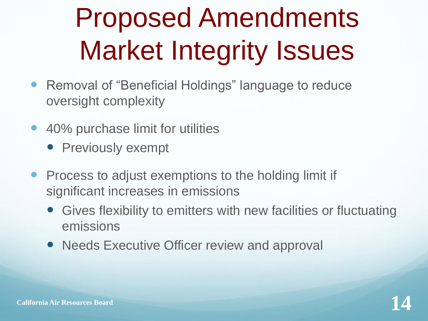## Proposed Amendments Market Integrity Issues

- Removal of "Beneficial Holdings" language to reduce oversight complexity
- 40% purchase limit for utilities
	- Previously exempt
- **Process to adjust exemptions to the holding limit if** significant increases in emissions
	- Gives flexibility to emitters with new facilities or fluctuating emissions
	- Needs Executive Officer review and approval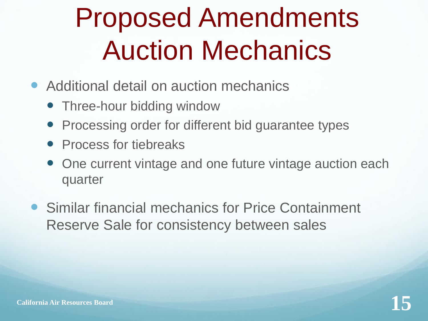#### Proposed Amendments Auction Mechanics

- Additional detail on auction mechanics
	- Three-hour bidding window
	- Processing order for different bid guarantee types
	- Process for tiebreaks
	- One current vintage and one future vintage auction each quarter
- Similar financial mechanics for Price Containment Reserve Sale for consistency between sales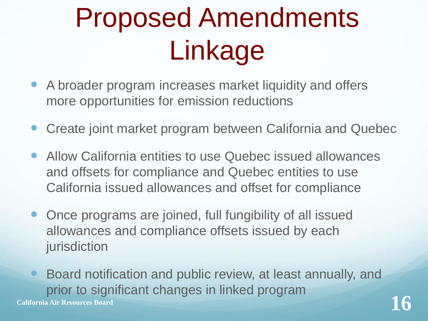## Proposed Amendments Linkage

- A broader program increases market liquidity and offers more opportunities for emission reductions
- Create joint market program between California and Quebec
- Allow California entities to use Quebec issued allowances and offsets for compliance and Quebec entities to use California issued allowances and offset for compliance
- Once programs are joined, full fungibility of all issued allowances and compliance offsets issued by each jurisdiction
- Board notification and public review, at least annually, and prior to significant changes in linked program **California Air Resources Board 16**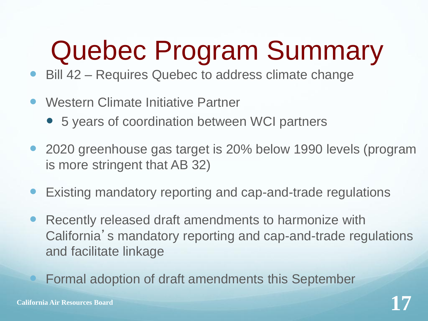## Quebec Program Summary

- Bill 42 Requires Quebec to address climate change
- Western Climate Initiative Partner
	- 5 years of coordination between WCI partners
- 2020 greenhouse gas target is 20% below 1990 levels (program is more stringent that AB 32)
- Existing mandatory reporting and cap-and-trade regulations
- Recently released draft amendments to harmonize with California's mandatory reporting and cap-and-trade regulations and facilitate linkage
	- Formal adoption of draft amendments this September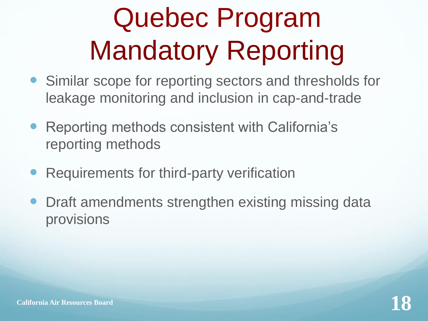## Quebec Program Mandatory Reporting

- Similar scope for reporting sectors and thresholds for leakage monitoring and inclusion in cap-and-trade
- Reporting methods consistent with California's reporting methods
- Requirements for third-party verification
- Draft amendments strengthen existing missing data provisions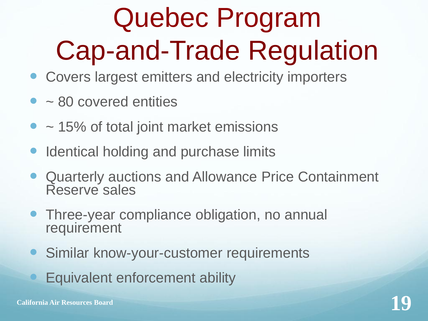## Quebec Program Cap-and-Trade Regulation

- Covers largest emitters and electricity importers
- ~ 80 covered entities
- $\bullet$  ~ 15% of total joint market emissions
- Identical holding and purchase limits
- Quarterly auctions and Allowance Price Containment Reserve sales
- Three-year compliance obligation, no annual requirement
- **Similar know-your-customer requirements** 
	- Equivalent enforcement ability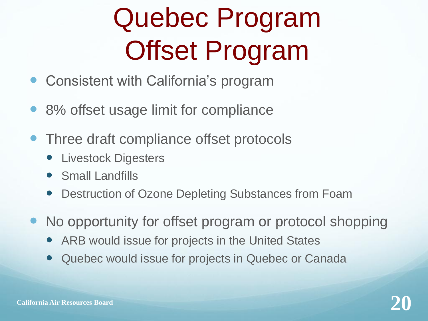## Quebec Program Offset Program

- Consistent with California's program
- 8% offset usage limit for compliance
- Three draft compliance offset protocols
	- Livestock Digesters
	- Small Landfills
	- Destruction of Ozone Depleting Substances from Foam
- No opportunity for offset program or protocol shopping
	- ARB would issue for projects in the United States
	- Quebec would issue for projects in Quebec or Canada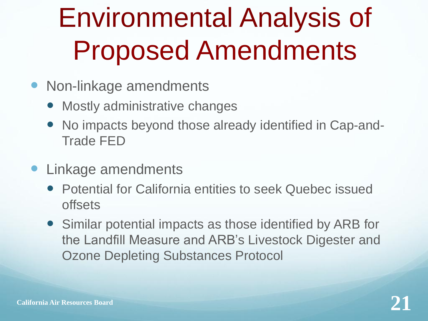## Environmental Analysis of Proposed Amendments

- Non-linkage amendments
	- Mostly administrative changes
	- No impacts beyond those already identified in Cap-and-Trade FED
- Linkage amendments
	- Potential for California entities to seek Quebec issued offsets
	- Similar potential impacts as those identified by ARB for the Landfill Measure and ARB's Livestock Digester and Ozone Depleting Substances Protocol